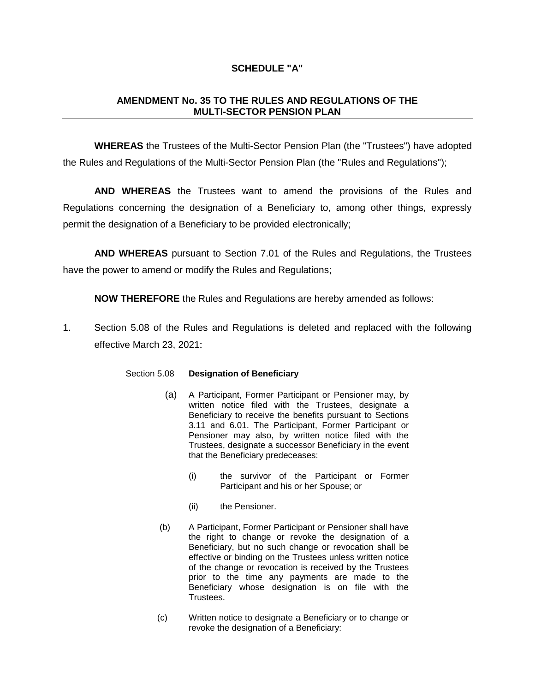## **SCHEDULE "A"**

## **AMENDMENT No. 35 TO THE RULES AND REGULATIONS OF THE MULTI-SECTOR PENSION PLAN**

**WHEREAS** the Trustees of the Multi-Sector Pension Plan (the "Trustees") have adopted the Rules and Regulations of the Multi-Sector Pension Plan (the "Rules and Regulations");

**AND WHEREAS** the Trustees want to amend the provisions of the Rules and Regulations concerning the designation of a Beneficiary to, among other things, expressly permit the designation of a Beneficiary to be provided electronically;

**AND WHEREAS** pursuant to Section 7.01 of the Rules and Regulations, the Trustees have the power to amend or modify the Rules and Regulations;

**NOW THEREFORE** the Rules and Regulations are hereby amended as follows:

1. Section 5.08 of the Rules and Regulations is deleted and replaced with the following effective March 23, 2021:

## Section 5.08 **Designation of Beneficiary**

- (a) A Participant, Former Participant or Pensioner may, by written notice filed with the Trustees, designate a Beneficiary to receive the benefits pursuant to Sections 3.11 and 6.01. The Participant, Former Participant or Pensioner may also, by written notice filed with the Trustees, designate a successor Beneficiary in the event that the Beneficiary predeceases:
	- (i) the survivor of the Participant or Former Participant and his or her Spouse; or
	- (ii) the Pensioner.
- (b) A Participant, Former Participant or Pensioner shall have the right to change or revoke the designation of a Beneficiary, but no such change or revocation shall be effective or binding on the Trustees unless written notice of the change or revocation is received by the Trustees prior to the time any payments are made to the Beneficiary whose designation is on file with the Trustees.
- (c) Written notice to designate a Beneficiary or to change or revoke the designation of a Beneficiary: